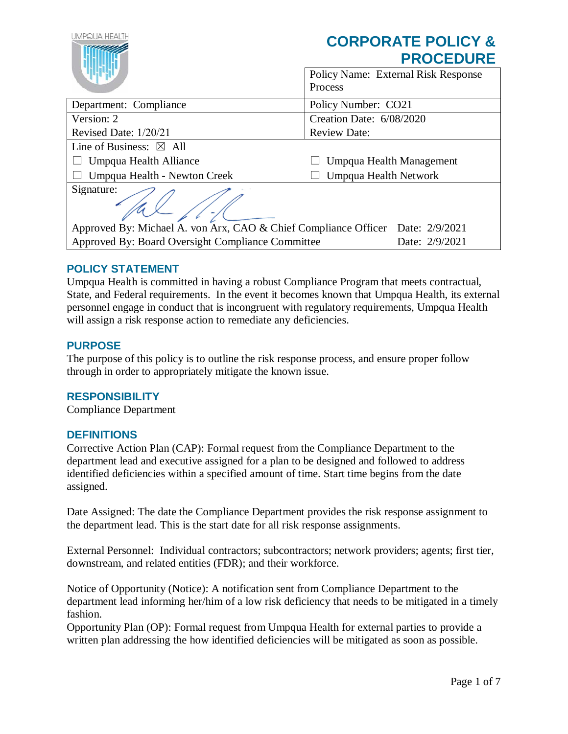| UMPQUA HEALTH                                                                  | <b>CORPORATE POLICY &amp;</b><br><b>PROCEDURE</b> |  |  |
|--------------------------------------------------------------------------------|---------------------------------------------------|--|--|
|                                                                                | Policy Name: External Risk Response<br>Process    |  |  |
| Department: Compliance                                                         | Policy Number: CO21                               |  |  |
| Version: 2                                                                     | Creation Date: 6/08/2020                          |  |  |
| Revised Date: 1/20/21                                                          | <b>Review Date:</b>                               |  |  |
| Line of Business: $\boxtimes$ All                                              |                                                   |  |  |
| Umpqua Health Alliance                                                         | Umpqua Health Management                          |  |  |
| Umpqua Health - Newton Creek                                                   | Umpqua Health Network                             |  |  |
| Signature:                                                                     |                                                   |  |  |
| Approved By: Michael A. von Arx, CAO & Chief Compliance Officer Date: 2/9/2021 |                                                   |  |  |
| Approved By: Board Oversight Compliance Committee                              | Date: 2/9/2021                                    |  |  |

## **POLICY STATEMENT**

Umpqua Health is committed in having a robust Compliance Program that meets contractual, State, and Federal requirements. In the event it becomes known that Umpqua Health, its external personnel engage in conduct that is incongruent with regulatory requirements, Umpqua Health will assign a risk response action to remediate any deficiencies.

### **PURPOSE**

The purpose of this policy is to outline the risk response process, and ensure proper follow through in order to appropriately mitigate the known issue.

## **RESPONSIBILITY**

Compliance Department

## **DEFINITIONS**

Corrective Action Plan (CAP): Formal request from the Compliance Department to the department lead and executive assigned for a plan to be designed and followed to address identified deficiencies within a specified amount of time. Start time begins from the date assigned.

Date Assigned: The date the Compliance Department provides the risk response assignment to the department lead. This is the start date for all risk response assignments.

External Personnel: Individual contractors; subcontractors; network providers; agents; first tier, downstream, and related entities (FDR); and their workforce.

Notice of Opportunity (Notice): A notification sent from Compliance Department to the department lead informing her/him of a low risk deficiency that needs to be mitigated in a timely fashion.

Opportunity Plan (OP): Formal request from Umpqua Health for external parties to provide a written plan addressing the how identified deficiencies will be mitigated as soon as possible.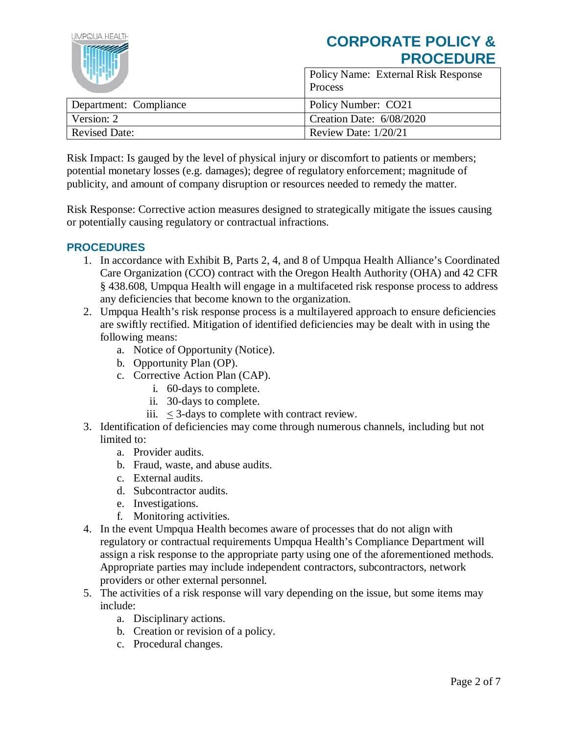| LIMPOLIA HEALTH<br><b>CORPORATE POLICY &amp;</b><br><b>PROCEDURE</b> |                                                       |
|----------------------------------------------------------------------|-------------------------------------------------------|
|                                                                      | <b>Policy Name: External Risk Response</b><br>Process |
| Department: Compliance                                               | Policy Number: CO21                                   |
| Version: 2                                                           | Creation Date: 6/08/2020                              |
| <b>Revised Date:</b>                                                 | Review Date: 1/20/21                                  |

Risk Impact: Is gauged by the level of physical injury or discomfort to patients or members; potential monetary losses (e.g. damages); degree of regulatory enforcement; magnitude of publicity, and amount of company disruption or resources needed to remedy the matter.

Risk Response: Corrective action measures designed to strategically mitigate the issues causing or potentially causing regulatory or contractual infractions.

# **PROCEDURES**

- 1. In accordance with Exhibit B, Parts 2, 4, and 8 of Umpqua Health Alliance's Coordinated Care Organization (CCO) contract with the Oregon Health Authority (OHA) and 42 CFR § 438.608, Umpqua Health will engage in a multifaceted risk response process to address any deficiencies that become known to the organization.
- 2. Umpqua Health's risk response process is a multilayered approach to ensure deficiencies are swiftly rectified. Mitigation of identified deficiencies may be dealt with in using the following means:
	- a. Notice of Opportunity (Notice).
	- b. Opportunity Plan (OP).
	- c. Corrective Action Plan (CAP).
		- i. 60-days to complete.
		- ii. 30-days to complete.
		- iii. < 3-days to complete with contract review.
- 3. Identification of deficiencies may come through numerous channels, including but not limited to:
	- a. Provider audits.
	- b. Fraud, waste, and abuse audits.
	- c. External audits.
	- d. Subcontractor audits.
	- e. Investigations.
	- f. Monitoring activities.
- 4. In the event Umpqua Health becomes aware of processes that do not align with regulatory or contractual requirements Umpqua Health's Compliance Department will assign a risk response to the appropriate party using one of the aforementioned methods. Appropriate parties may include independent contractors, subcontractors, network providers or other external personnel.
- 5. The activities of a risk response will vary depending on the issue, but some items may include:
	- a. Disciplinary actions.
	- b. Creation or revision of a policy.
	- c. Procedural changes.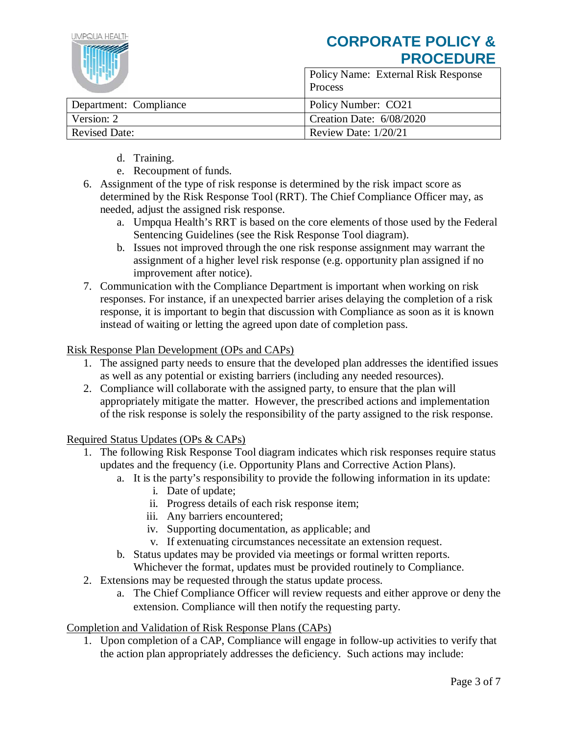| IMPOLIA HEALTH         | <b>CORPORATE POLICY &amp;</b><br><b>PROCEDURE</b>     |
|------------------------|-------------------------------------------------------|
|                        | <b>Policy Name: External Risk Response</b><br>Process |
| Department: Compliance | Policy Number: CO21                                   |
| Version: 2             | Creation Date: 6/08/2020                              |
| <b>Revised Date:</b>   | Review Date: $1/20/21$                                |

- d. Training.
- e. Recoupment of funds.
- 6. Assignment of the type of risk response is determined by the risk impact score as determined by the Risk Response Tool (RRT). The Chief Compliance Officer may, as needed, adjust the assigned risk response.
	- a. Umpqua Health's RRT is based on the core elements of those used by the Federal Sentencing Guidelines (see the Risk Response Tool diagram).
	- b. Issues not improved through the one risk response assignment may warrant the assignment of a higher level risk response (e.g. opportunity plan assigned if no improvement after notice).
- 7. Communication with the Compliance Department is important when working on risk responses. For instance, if an unexpected barrier arises delaying the completion of a risk response, it is important to begin that discussion with Compliance as soon as it is known instead of waiting or letting the agreed upon date of completion pass.

### Risk Response Plan Development (OPs and CAPs)

- 1. The assigned party needs to ensure that the developed plan addresses the identified issues as well as any potential or existing barriers (including any needed resources).
- 2. Compliance will collaborate with the assigned party, to ensure that the plan will appropriately mitigate the matter. However, the prescribed actions and implementation of the risk response is solely the responsibility of the party assigned to the risk response.

Required Status Updates (OPs & CAPs)

- 1. The following Risk Response Tool diagram indicates which risk responses require status updates and the frequency (i.e. Opportunity Plans and Corrective Action Plans).
	- a. It is the party's responsibility to provide the following information in its update:
		- i. Date of update;
		- ii. Progress details of each risk response item;
		- iii. Any barriers encountered;
		- iv. Supporting documentation, as applicable; and
		- v. If extenuating circumstances necessitate an extension request.
	- b. Status updates may be provided via meetings or formal written reports.
		- Whichever the format, updates must be provided routinely to Compliance.
- 2. Extensions may be requested through the status update process.
	- a. The Chief Compliance Officer will review requests and either approve or deny the extension. Compliance will then notify the requesting party.

#### Completion and Validation of Risk Response Plans (CAPs)

1. Upon completion of a CAP, Compliance will engage in follow-up activities to verify that the action plan appropriately addresses the deficiency. Such actions may include: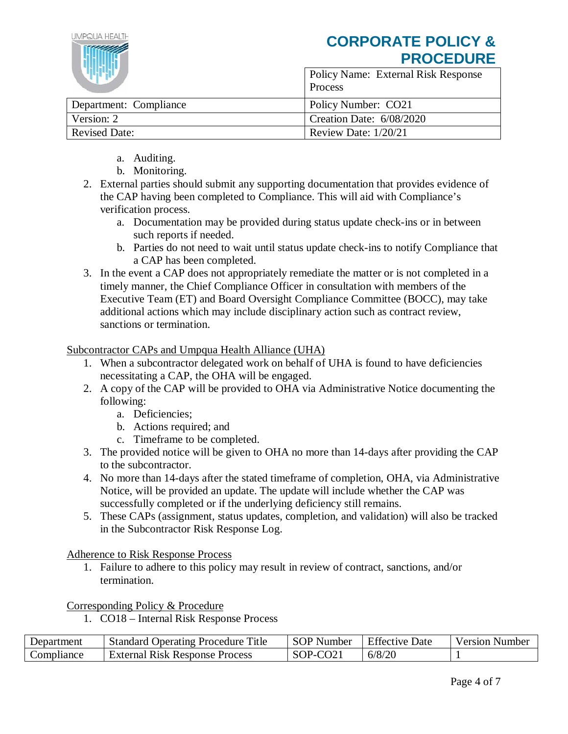

- a. Auditing.
- b. Monitoring.
- 2. External parties should submit any supporting documentation that provides evidence of the CAP having been completed to Compliance. This will aid with Compliance's verification process.
	- a. Documentation may be provided during status update check-ins or in between such reports if needed.
	- b. Parties do not need to wait until status update check-ins to notify Compliance that a CAP has been completed.
- 3. In the event a CAP does not appropriately remediate the matter or is not completed in a timely manner, the Chief Compliance Officer in consultation with members of the Executive Team (ET) and Board Oversight Compliance Committee (BOCC), may take additional actions which may include disciplinary action such as contract review, sanctions or termination.

### Subcontractor CAPs and Umpqua Health Alliance (UHA)

- 1. When a subcontractor delegated work on behalf of UHA is found to have deficiencies necessitating a CAP, the OHA will be engaged.
- 2. A copy of the CAP will be provided to OHA via Administrative Notice documenting the following:
	- a. Deficiencies;
	- b. Actions required; and
	- c. Timeframe to be completed.
- 3. The provided notice will be given to OHA no more than 14-days after providing the CAP to the subcontractor.
- 4. No more than 14-days after the stated timeframe of completion, OHA, via Administrative Notice, will be provided an update. The update will include whether the CAP was successfully completed or if the underlying deficiency still remains.
- 5. These CAPs (assignment, status updates, completion, and validation) will also be tracked in the Subcontractor Risk Response Log.

Adherence to Risk Response Process

1. Failure to adhere to this policy may result in review of contract, sanctions, and/or termination.

Corresponding Policy & Procedure

1. CO18 – Internal Risk Response Process

| Department | <b>Standard Operating Procedure Title</b> | SOP Number | <b>Effective Date</b> | Version Number |
|------------|-------------------------------------------|------------|-----------------------|----------------|
| Compliance | <b>External Risk Response Process</b>     | SOP-CO21   | 6/8/20                |                |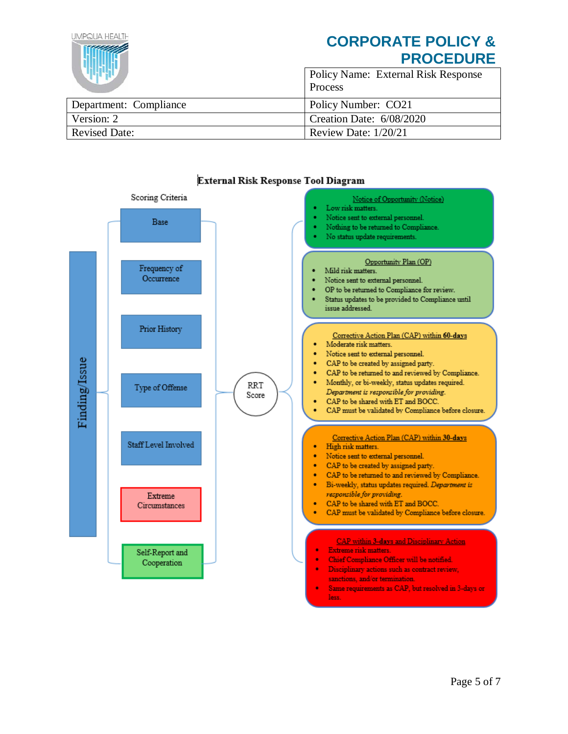| IMPOUA HFALIH<br><b>CORPORATE POLICY &amp;</b><br><b>PROCEDURE</b> |                                                |
|--------------------------------------------------------------------|------------------------------------------------|
|                                                                    | Policy Name: External Risk Response<br>Process |
| Department: Compliance                                             | Policy Number: CO21                            |
| Version: 2                                                         | Creation Date: 6/08/2020                       |
| <b>Revised Date:</b>                                               | Review Date: 1/20/21                           |



#### External Risk Response Tool Diagram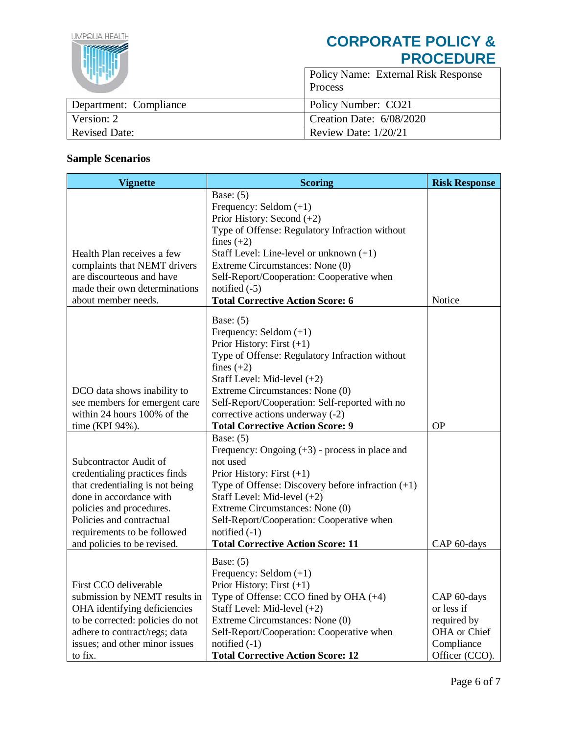| LIMPOLIA HEALTH        | <b>CORPORATE POLICY &amp;</b><br><b>PROCEDURE</b> |  |
|------------------------|---------------------------------------------------|--|
|                        | Policy Name: External Risk Response<br>Process    |  |
| Department: Compliance | Policy Number: CO21                               |  |
| Version: 2             | Creation Date: 6/08/2020                          |  |
| <b>Revised Date:</b>   | Review Date: 1/20/21                              |  |

# **Sample Scenarios**

| <b>Vignette</b>                                                                                                                                                                                                                             | <b>Scoring</b>                                                                                                                                                                                                                                                                                                                                    | <b>Risk Response</b>                                                                     |
|---------------------------------------------------------------------------------------------------------------------------------------------------------------------------------------------------------------------------------------------|---------------------------------------------------------------------------------------------------------------------------------------------------------------------------------------------------------------------------------------------------------------------------------------------------------------------------------------------------|------------------------------------------------------------------------------------------|
| Health Plan receives a few<br>complaints that NEMT drivers<br>are discourteous and have<br>made their own determinations<br>about member needs.                                                                                             | Base: $(5)$<br>Frequency: Seldom $(+1)$<br>Prior History: Second (+2)<br>Type of Offense: Regulatory Infraction without<br>fines $(+2)$<br>Staff Level: Line-level or unknown $(+1)$<br>Extreme Circumstances: None (0)<br>Self-Report/Cooperation: Cooperative when<br>notified $(-5)$<br><b>Total Corrective Action Score: 6</b>                | Notice                                                                                   |
| DCO data shows inability to<br>see members for emergent care<br>within 24 hours 100% of the<br>time (KPI 94%).                                                                                                                              | Base: $(5)$<br>Frequency: Seldom $(+1)$<br>Prior History: First $(+1)$<br>Type of Offense: Regulatory Infraction without<br>fines $(+2)$<br>Staff Level: Mid-level $(+2)$<br>Extreme Circumstances: None (0)<br>Self-Report/Cooperation: Self-reported with no<br>corrective actions underway (-2)<br><b>Total Corrective Action Score: 9</b>     | <b>OP</b>                                                                                |
| Subcontractor Audit of<br>credentialing practices finds<br>that credentialing is not being<br>done in accordance with<br>policies and procedures.<br>Policies and contractual<br>requirements to be followed<br>and policies to be revised. | Base: $(5)$<br>Frequency: Ongoing $(+3)$ - process in place and<br>not used<br>Prior History: First $(+1)$<br>Type of Offense: Discovery before infraction $(+1)$<br>Staff Level: Mid-level $(+2)$<br>Extreme Circumstances: None (0)<br>Self-Report/Cooperation: Cooperative when<br>notified $(-1)$<br><b>Total Corrective Action Score: 11</b> | CAP 60-days                                                                              |
| First CCO deliverable<br>submission by NEMT results in<br>OHA identifying deficiencies<br>to be corrected: policies do not<br>adhere to contract/regs; data<br>issues; and other minor issues<br>to fix.                                    | Base: $(5)$<br>Frequency: Seldom $(+1)$<br>Prior History: First $(+1)$<br>Type of Offense: CCO fined by OHA $(+4)$<br>Staff Level: Mid-level (+2)<br>Extreme Circumstances: None (0)<br>Self-Report/Cooperation: Cooperative when<br>notified $(-1)$<br><b>Total Corrective Action Score: 12</b>                                                  | CAP 60-days<br>or less if<br>required by<br>OHA or Chief<br>Compliance<br>Officer (CCO). |